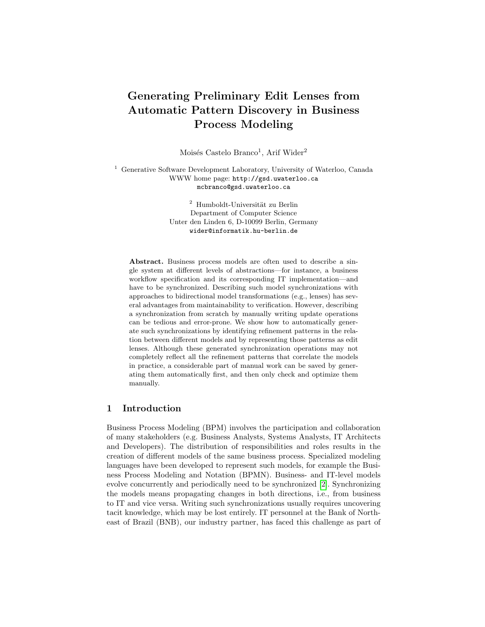# Generating Preliminary Edit Lenses from Automatic Pattern Discovery in Business Process Modeling

Moisés Castelo Branco<sup>1</sup>, Arif Wider<sup>2</sup>

<sup>1</sup> Generative Software Development Laboratory, University of Waterloo, Canada WWW home page: http://gsd.uwaterloo.ca mcbranco@gsd.uwaterloo.ca

> $^{\rm 2}$ Humboldt-Universität zu Berlin Department of Computer Science Unter den Linden 6, D-10099 Berlin, Germany wider@informatik.hu-berlin.de

Abstract. Business process models are often used to describe a single system at different levels of abstractions—for instance, a business workflow specification and its corresponding IT implementation—and have to be synchronized. Describing such model synchronizations with approaches to bidirectional model transformations (e.g., lenses) has several advantages from maintainability to verification. However, describing a synchronization from scratch by manually writing update operations can be tedious and error-prone. We show how to automatically generate such synchronizations by identifying refinement patterns in the relation between different models and by representing those patterns as edit lenses. Although these generated synchronization operations may not completely reflect all the refinement patterns that correlate the models in practice, a considerable part of manual work can be saved by generating them automatically first, and then only check and optimize them manually.

### 1 Introduction

Business Process Modeling (BPM) involves the participation and collaboration of many stakeholders (e.g. Business Analysts, Systems Analysts, IT Architects and Developers). The distribution of responsibilities and roles results in the creation of different models of the same business process. Specialized modeling languages have been developed to represent such models, for example the Business Process Modeling and Notation (BPMN). Business- and IT-level models evolve concurrently and periodically need to be synchronized [\[2\]](#page-7-0). Synchronizing the models means propagating changes in both directions, i.e., from business to IT and vice versa. Writing such synchronizations usually requires uncovering tacit knowledge, which may be lost entirely. IT personnel at the Bank of Northeast of Brazil (BNB), our industry partner, has faced this challenge as part of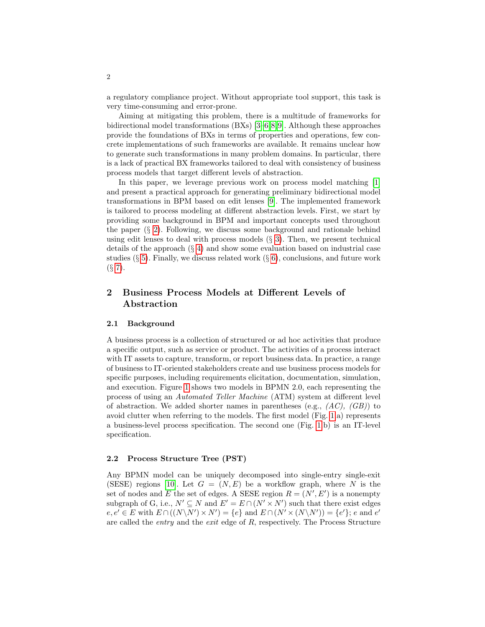a regulatory compliance project. Without appropriate tool support, this task is very time-consuming and error-prone.

Aiming at mitigating this problem, there is a multitude of frameworks for bidirectional model transformations (BXs) [\[3–](#page-7-1)[6,](#page-7-2)[8,](#page-7-3)[9\]](#page-7-4). Although these approaches provide the foundations of BXs in terms of properties and operations, few concrete implementations of such frameworks are available. It remains unclear how to generate such transformations in many problem domains. In particular, there is a lack of practical BX frameworks tailored to deal with consistency of business process models that target different levels of abstraction.

In this paper, we leverage previous work on process model matching [\[1\]](#page-7-5) and present a practical approach for generating preliminary bidirectional model transformations in BPM based on edit lenses [\[9\]](#page-7-4). The implemented framework is tailored to process modeling at different abstraction levels. First, we start by providing some background in BPM and important concepts used throughout the paper  $(\S 2)$  $(\S 2)$ . Following, we discuss some background and rationale behind using edit lenses to deal with process models  $(\S$  [3\)](#page-3-0). Then, we present technical details of the approach  $(\S 4)$  $(\S 4)$  and show some evaluation based on industrial case studies ( $\S 5$ ). Finally, we discuss related work ( $\S 6$ ), conclusions, and future work  $(S 7)$  $(S 7)$ .

# <span id="page-1-0"></span>2 Business Process Models at Different Levels of Abstraction

#### 2.1 Background

A business process is a collection of structured or ad hoc activities that produce a specific output, such as service or product. The activities of a process interact with IT assets to capture, transform, or report business data. In practice, a range of business to IT-oriented stakeholders create and use business process models for specific purposes, including requirements elicitation, documentation, simulation, and execution. Figure [1](#page-2-0) shows two models in BPMN 2.0, each representing the process of using an Automated Teller Machine (ATM) system at different level of abstraction. We added shorter names in parentheses (e.g.,  $(AC)$ ,  $(GB)$ ) to avoid clutter when referring to the models. The first model (Fig. [1.](#page-2-0)a) represents a business-level process specification. The second one (Fig. [1.](#page-2-0)b) is an IT-level specification.

#### 2.2 Process Structure Tree (PST)

Any BPMN model can be uniquely decomposed into single-entry single-exit (SESE) regions [\[10\]](#page-7-6). Let  $G = (N, E)$  be a workflow graph, where N is the set of nodes and E the set of edges. A SESE region  $R = (N', E')$  is a nonempty subgraph of G, i.e.,  $N' \subseteq N$  and  $E' = E \cap (N' \times N')$  such that there exist edges  $e, e' \in E$  with  $E \cap ((N \backslash N') \times N') = \{e\}$  and  $E \cap (N' \times (N \backslash N')) = \{e'\}; e$  and  $e'$ are called the entry and the exit edge of R, respectively. The Process Structure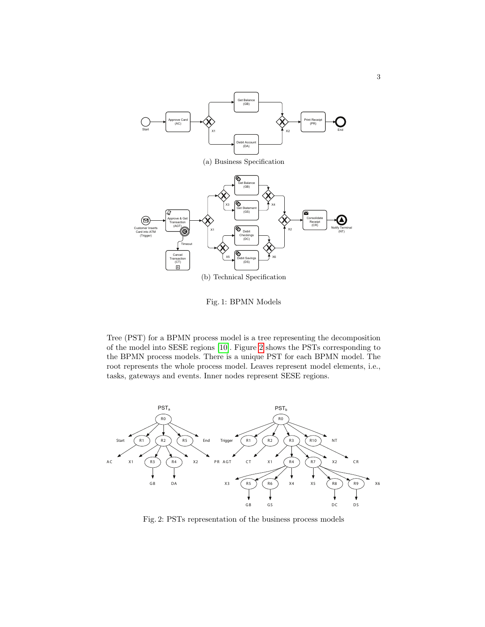<span id="page-2-0"></span>

Fig. 1: BPMN Models

Tree (PST) for a BPMN process model is a tree representing the decomposition of the model into SESE regions [\[10\]](#page-7-6). Figure [2](#page-2-1) shows the PSTs corresponding to the BPMN process models. There is a unique PST for each BPMN model. The root represents the whole process model. Leaves represent model elements, i.e., tasks, gateways and events. Inner nodes represent SESE regions.

<span id="page-2-1"></span>

Fig. 2: PSTs representation of the business process models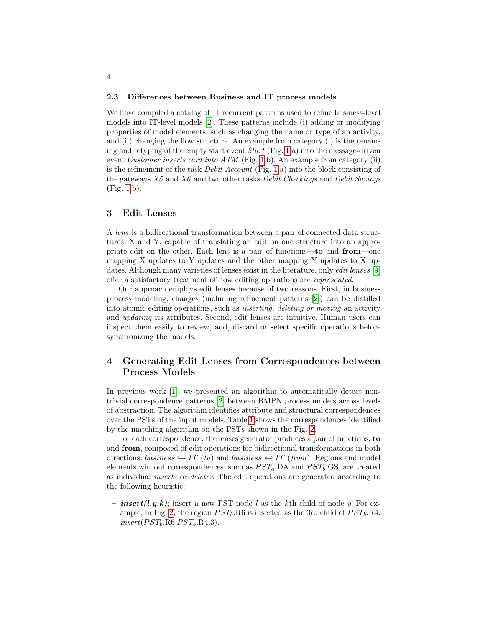#### 2.3 Differences between Business and IT process models

We have compiled a catalog of 11 recurrent patterns used to refine business-level models into IT-level models [\[2\]](#page-7-0). These patterns include (i) adding or modifying properties of model elements, such as changing the name or type of an activity, and (ii) changing the flow structure. An example from category (i) is the renaming and retyping of the empty start event  $Start$  (Fig. [1.](#page-2-0)a) into the message-driven event Customer inserts card into ATM (Fig. [1.](#page-2-0)b). An example from category (ii) is the refinement of the task *Debit Account* (Fig. [1.](#page-2-0)a) into the block consisting of the gateways  $X5$  and  $X6$  and two other tasks *Debit Checkings* and *Debit Savings* (Fig. [1.](#page-2-0)b).

### <span id="page-3-0"></span>3 Edit Lenses

A lens is a bidirectional transformation between a pair of connected data structures, X and Y, capable of translating an edit on one structure into an appropriate edit on the other. Each lens is a pair of functions—to and from—one mapping X updates to Y updates and the other mapping Y updates to X updates. Although many varieties of lenses exist in the literature, only *edit lenses* [\[9\]](#page-7-4) offer a satisfactory treatment of how editing operations are represented.

Our approach employs edit lenses because of two reasons. First, in business process modeling, changes (including refinement patterns [\[2\]](#page-7-0)) can be distilled into atomic editing operations, such as inserting, deleting or moving an activity and updating its attributes. Second, edit lenses are intuitive. Human users can inspect them easily to review, add, discard or select specific operations before synchronizing the models.

# <span id="page-3-1"></span>4 Generating Edit Lenses from Correspondences between Process Models

In previous work [\[1\]](#page-7-5), we presented an algorithm to automatically detect nontrivial correspondence patterns [\[2\]](#page-7-0) between BMPN process models across levels of abstraction. The algorithm identifies attribute and structural correspondences over the PSTs of the input models. Table [1](#page-4-0) shows the correspondences identified by the matching algorithm on the PSTs shown in the Fig. [2.](#page-2-1)

For each correspondence, the lenses generator produces a pair of functions, to and from, composed of edit operations for bidirectional transformations in both directions: business  $\hookrightarrow IT$  (to) and business  $\hookleftarrow IT$  (from). Regions and model elements without correspondences, such as  $PST_a$ .DA and  $PST_b$ .GS, are treated as individual inserts or deletes. The edit operations are generated according to the following heuristic:

– *insert*(*l,y,k*); insert a new PST node l as the kth child of node y. For ex-ample, in Fig. [2,](#page-2-1) the region  $PST_b$ .R6 is inserted as the 3rd child of  $PST_b$ .R4:  $insert(PST_b \text{R6}, PST_b \text{R4}, 3).$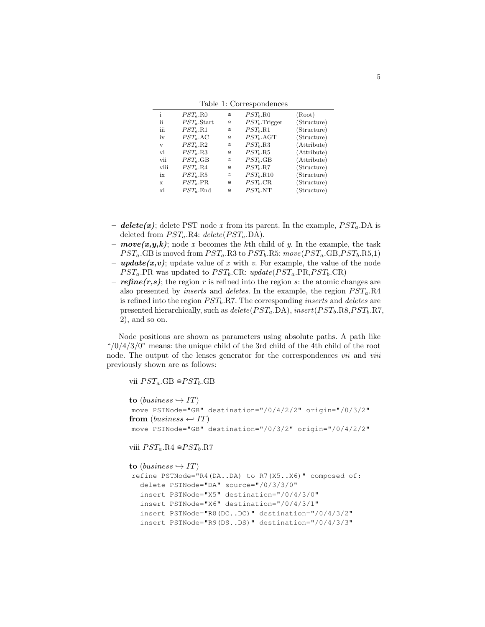|  |  | Table 1: Correspondences |
|--|--|--------------------------|
|--|--|--------------------------|

<span id="page-4-0"></span>

| i    | $PST_a$ .RO     | $\cong$ | $PST_b$ .RO        | (Root)      |
|------|-----------------|---------|--------------------|-------------|
| ij   | $PST_a$ . Start | $\cong$ | $PST_b$ . Trigger  | (Structure) |
| iii  | $PST_a.R1$      | $\cong$ | $PSTb$ .R1         | (Structure) |
| iv   | $PST_a$ .AC     | $\cong$ | $PST_b.\text{AGT}$ | (Structure) |
| V    | $PST_a.R2$      | $\cong$ | $PST_h.R3$         | (Attribute) |
| vi   | $PST_a.R3$      | $\cong$ | $PST_b$ .R5        | (Attribute) |
| vii  | $PST_a$ .GB     | $\cong$ | $PST_b$ .GB        | (Attribute) |
| viii | $PST_a.R4$      | $\cong$ | $PST_h.R7$         | (Structure) |
| ix   | $PST_a$ .R5     | $\cong$ | $PST_b$ .R10       | (Structure) |
| X    | $PST_a$ .PR     | $\cong$ | $PSTb$ .CR         | (Structure) |
| xi   | $PST_a$ . End   | $\cong$ | $PSTb$ .NT         | (Structure) |

- delete(x); delete PST node x from its parent. In the example,  $PST_a$ . DA is deleted from  $PST_a.R4: delete (PST_a.DA).$
- $move(x, y, k)$ ; node x becomes the kth child of y. In the example, the task  $PST_a$ .GB is moved from  $PST_a$ .R3 to  $PST_b$ .R5: move $(PST_a$ .GB, $PST_b$ .R5,1)
- **update** $(x, v)$ ; update value of x with v. For example, the value of the node  $PST_a$ .PR was updated to  $PST_b$ .CR:  $update(PST_a.PR, PST_b.CR)$
- **refine(r,s)**; the region r is refined into the region s: the atomic changes are also presented by *inserts* and *deletes*. In the example, the region  $PST_a$ .R4 is refined into the region  $PST_b.R7$ . The corresponding *inserts* and *deletes* are presented hierarchically, such as  $delete(PST_a, DA)$ , insert( $PST_b, RS, PST_b, RT$ , 2), and so on.

Node positions are shown as parameters using absolute paths. A path like " $/0/4/3/0$ " means: the unique child of the 3rd child of the 4th child of the root node. The output of the lenses generator for the correspondences *vii* and *viii* previously shown are as follows:

vii  $PST_a$ .GB  $\cong PST_b$ .GB

```
to (business \hookrightarrow IT)
move PSTNode="GB" destination="/0/4/2/2" origin="/0/3/2"
from (business \leftarrow IT)move PSTNode="GB" destination="/0/3/2" origin="/0/4/2/2"
```
viii  $PST_a.R4 \cong PST_b.R7$ 

```
to (business \hookrightarrow IT)
refine PSTNode="R4(DA..DA) to R7(X5..X6)" composed of:
  delete PSTNode="DA" source="/0/3/3/0"
  insert PSTNode="X5" destination="/0/4/3/0"
  insert PSTNode="X6" destination="/0/4/3/1"
  insert PSTNode="R8(DC..DC)" destination="/0/4/3/2"
  insert PSTNode="R9(DS..DS)" destination="/0/4/3/3"
```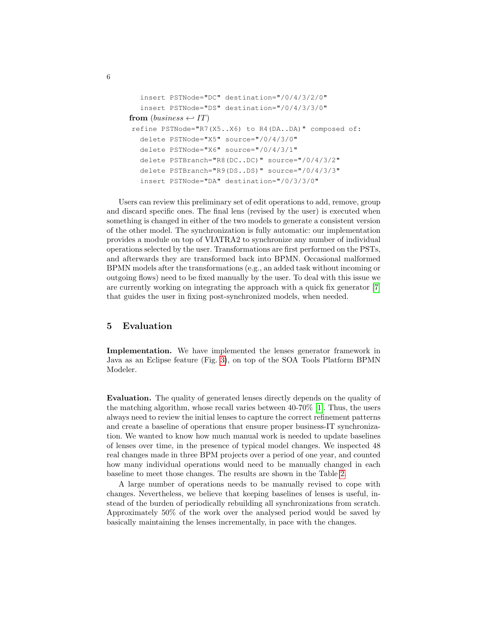```
insert PSTNode="DC" destination="/0/4/3/2/0"
  insert PSTNode="DS" destination="/0/4/3/3/0"
from (business \leftarrow IT)refine PSTNode="R7(X5..X6) to R4(DA..DA)" composed of:
  delete PSTNode="X5" source="/0/4/3/0"
  delete PSTNode="X6" source="/0/4/3/1"
  delete PSTBranch="R8(DC..DC)" source="/0/4/3/2"
  delete PSTBranch="R9(DS..DS)" source="/0/4/3/3"
  insert PSTNode="DA" destination="/0/3/3/0"
```
Users can review this preliminary set of edit operations to add, remove, group and discard specific ones. The final lens (revised by the user) is executed when something is changed in either of the two models to generate a consistent version of the other model. The synchronization is fully automatic: our implementation provides a module on top of VIATRA2 to synchronize any number of individual operations selected by the user. Transformations are first performed on the PSTs, and afterwards they are transformed back into BPMN. Occasional malformed BPMN models after the transformations (e.g., an added task without incoming or outgoing flows) need to be fixed manually by the user. To deal with this issue we are currently working on integrating the approach with a quick fix generator [\[7\]](#page-7-7) that guides the user in fixing post-synchronized models, when needed.

## <span id="page-5-0"></span>5 Evaluation

Implementation. We have implemented the lenses generator framework in Java as an Eclipse feature (Fig. [3\)](#page-6-2), on top of the SOA Tools Platform BPMN Modeler.

Evaluation. The quality of generated lenses directly depends on the quality of the matching algorithm, whose recall varies between 40-70% [\[1\]](#page-7-5). Thus, the users always need to review the initial lenses to capture the correct refinement patterns and create a baseline of operations that ensure proper business-IT synchronization. We wanted to know how much manual work is needed to update baselines of lenses over time, in the presence of typical model changes. We inspected 48 real changes made in three BPM projects over a period of one year, and counted how many individual operations would need to be manually changed in each baseline to meet those changes. The results are shown in the Table [2.](#page-6-3)

A large number of operations needs to be manually revised to cope with changes. Nevertheless, we believe that keeping baselines of lenses is useful, instead of the burden of periodically rebuilding all synchronizations from scratch. Approximately 50% of the work over the analysed period would be saved by basically maintaining the lenses incrementally, in pace with the changes.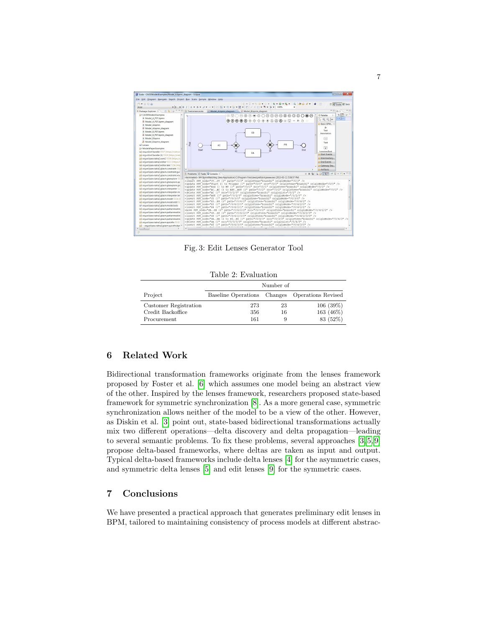<span id="page-6-2"></span>

Fig. 3: Edit Lenses Generator Tool

Table 2: Evaluation

<span id="page-6-3"></span>

|                       | Number of                                      |    |           |  |  |
|-----------------------|------------------------------------------------|----|-----------|--|--|
| Project               | Baseline Operations Changes Operations Revised |    |           |  |  |
| Customer Registration | 273                                            | 23 | 106(39%)  |  |  |
| Credit Backoffice     | 356                                            | 16 | 163 (46%) |  |  |
| Procurement           | 161                                            | 9  | 83 (52%)  |  |  |

# <span id="page-6-0"></span>6 Related Work

Bidirectional transformation frameworks originate from the lenses framework proposed by Foster et al. [\[6\]](#page-7-2) which assumes one model being an abstract view of the other. Inspired by the lenses framework, researchers proposed state-based framework for symmetric synchronization [\[8\]](#page-7-3). As a more general case, symmetric synchronization allows neither of the model to be a view of the other. However, as Diskin et al. [\[3\]](#page-7-1) point out, state-based bidirectional transformations actually mix two different operations—delta discovery and delta propagation—leading to several semantic problems. To fix these problems, several approaches [\[3,](#page-7-1) [5,](#page-7-8) [9\]](#page-7-4) propose delta-based frameworks, where deltas are taken as input and output. Typical delta-based frameworks include delta lenses [\[4\]](#page-7-9) for the asymmetric cases, and symmetric delta lenses [\[5\]](#page-7-8) and edit lenses [\[9\]](#page-7-4) for the symmetric cases.

# <span id="page-6-1"></span>7 Conclusions

We have presented a practical approach that generates preliminary edit lenses in BPM, tailored to maintaining consistency of process models at different abstrac